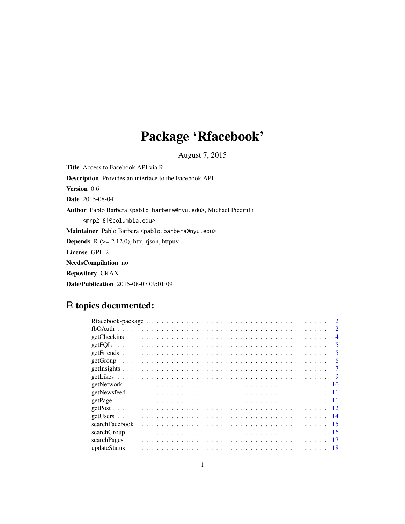# Package 'Rfacebook'

August 7, 2015

Title Access to Facebook API via R Description Provides an interface to the Facebook API. Version 0.6 Date 2015-08-04 Author Pablo Barbera <pablo.barbera@nyu.edu>, Michael Piccirilli <mrp2181@columbia.edu> Maintainer Pablo Barbera <pablo.barbera@nyu.edu> **Depends** R  $(>= 2.12.0)$ , httr, rjson, httpuv License GPL-2 NeedsCompilation no Repository CRAN Date/Publication 2015-08-07 09:01:09

# R topics documented:

| $\mathcal{P}$  |
|----------------|
| $\overline{4}$ |
|                |
| 5              |
| 6              |
|                |
|                |
|                |
|                |
|                |
|                |
|                |
|                |
| -16            |
|                |
|                |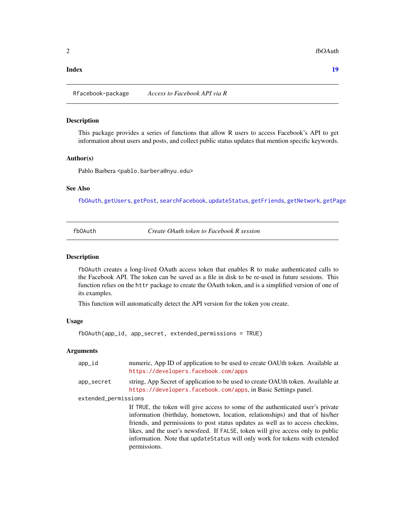#### <span id="page-1-0"></span>**Index** 2008 **[19](#page-18-0)99**

Rfacebook-package *Access to Facebook API via R*

# Description

This package provides a series of functions that allow R users to access Facebook's API to get information about users and posts, and collect public status updates that mention specific keywords.

#### Author(s)

Pablo Barbera <pablo.barbera@nyu.edu>

#### See Also

[fbOAuth](#page-1-1), [getUsers](#page-13-1), [getPost](#page-11-1), [searchFacebook](#page-14-1), [updateStatus](#page-17-1), [getFriends](#page-4-1), [getNetwork](#page-9-1), [getPage](#page-10-1)

<span id="page-1-1"></span>

| fb0Auth |  |
|---------|--|
|         |  |

**Create OAuth token to Facebook R session** 

#### Description

fbOAuth creates a long-lived OAuth access token that enables R to make authenticated calls to the Facebook API. The token can be saved as a file in disk to be re-used in future sessions. This function relies on the httr package to create the OAuth token, and is a simplified version of one of its examples.

This function will automatically detect the API version for the token you create.

#### Usage

```
fbOAuth(app_id, app_secret, extended_permissions = TRUE)
```
permissions.

#### **Arguments**

| app_id               | numeric, App ID of application to be used to create OAUth token. Available at<br>https://developers.facebook.com/apps                                                                                                                                                                                                                                                                                                 |  |
|----------------------|-----------------------------------------------------------------------------------------------------------------------------------------------------------------------------------------------------------------------------------------------------------------------------------------------------------------------------------------------------------------------------------------------------------------------|--|
| app_secret           | string, App Secret of application to be used to create OAUth token. Available at<br>https://developers.facebook.com/apps, in Basic Settings panel.                                                                                                                                                                                                                                                                    |  |
| extended_permissions |                                                                                                                                                                                                                                                                                                                                                                                                                       |  |
|                      | If TRUE, the token will give access to some of the authenticated user's private<br>information (birthday, hometown, location, relationships) and that of his/her<br>friends, and permissions to post status updates as well as to access checkins,<br>likes, and the user's newsfeed. If FALSE, token will give access only to public<br>information. Note that update Status will only work for tokens with extended |  |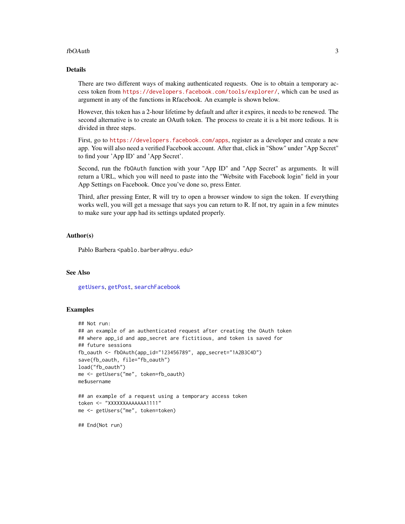#### <span id="page-2-0"></span>fbOAuth 3

# Details

There are two different ways of making authenticated requests. One is to obtain a temporary access token from <https://developers.facebook.com/tools/explorer/>, which can be used as argument in any of the functions in Rfacebook. An example is shown below.

However, this token has a 2-hour lifetime by default and after it expires, it needs to be renewed. The second alternative is to create an OAuth token. The process to create it is a bit more tedious. It is divided in three steps.

First, go to <https://developers.facebook.com/apps>, register as a developer and create a new app. You will also need a verified Facebook account. After that, click in "Show" under "App Secret" to find your 'App ID' and 'App Secret'.

Second, run the fbOAuth function with your "App ID" and "App Secret" as arguments. It will return a URL, which you will need to paste into the "Website with Facebook login" field in your App Settings on Facebook. Once you've done so, press Enter.

Third, after pressing Enter, R will try to open a browser window to sign the token. If everything works well, you will get a message that says you can return to R. If not, try again in a few minutes to make sure your app had its settings updated properly.

#### Author(s)

Pablo Barbera <pablo.barbera@nyu.edu>

# See Also

[getUsers](#page-13-1), [getPost](#page-11-1), [searchFacebook](#page-14-1)

## Examples

```
## Not run:
## an example of an authenticated request after creating the OAuth token
## where app_id and app_secret are fictitious, and token is saved for
## future sessions
fb_oauth <- fbOAuth(app_id="123456789", app_secret="1A2B3C4D")
save(fb_oauth, file="fb_oauth")
load("fb_oauth")
me <- getUsers("me", token=fb_oauth)
me$username
## an example of a request using a temporary access token
token <- "XXXXXXAAAAAAA1111"
me <- getUsers("me", token=token)
```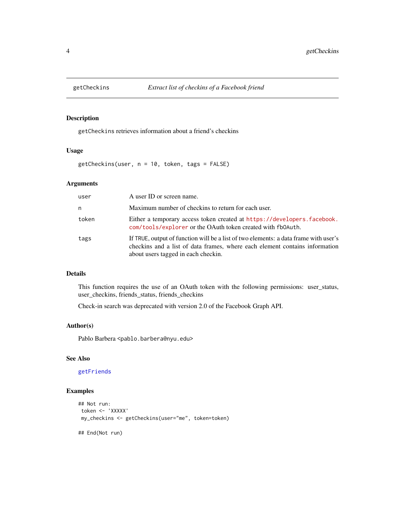<span id="page-3-0"></span>

getCheckins retrieves information about a friend's checkins

# Usage

getCheckins(user, n = 10, token, tags = FALSE)

# Arguments

| user  | A user ID or screen name.                                                                                                                                                                                  |
|-------|------------------------------------------------------------------------------------------------------------------------------------------------------------------------------------------------------------|
| n     | Maximum number of checkins to return for each user.                                                                                                                                                        |
| token | Either a temporary access token created at https://developers.facebook.<br>com/tools/explorer or the OAuth token created with fb0Auth.                                                                     |
| tags  | If TRUE, output of function will be a list of two elements: a data frame with user's<br>checkins and a list of data frames, where each element contains information<br>about users tagged in each checkin. |

#### Details

This function requires the use of an OAuth token with the following permissions: user\_status, user\_checkins, friends\_status, friends\_checkins

Check-in search was deprecated with version 2.0 of the Facebook Graph API.

# Author(s)

Pablo Barbera <pablo.barbera@nyu.edu>

# See Also

[getFriends](#page-4-1)

```
## Not run:
token <- 'XXXXX'
my_checkins <- getCheckins(user="me", token=token)
## End(Not run)
```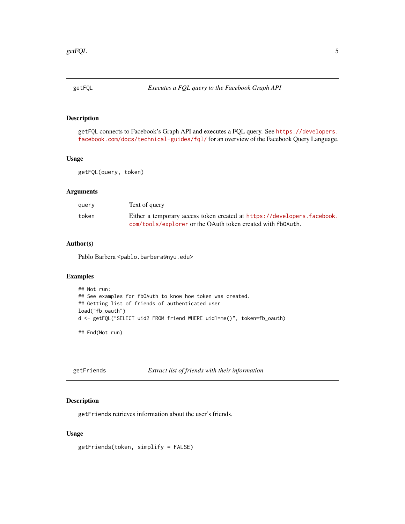<span id="page-4-0"></span>

getFQL connects to Facebook's Graph API and executes a FQL query. See [https://developers.](https://developers.facebook.com/docs/technical-guides/fql/) [facebook.com/docs/technical-guides/fql/](https://developers.facebook.com/docs/technical-guides/fql/) for an overview of the Facebook Query Language.

#### Usage

getFQL(query, token)

## Arguments

| query | Text of query                                                           |
|-------|-------------------------------------------------------------------------|
| token | Either a temporary access token created at https://developers.facebook. |
|       | com/tools/explorer or the OAuth token created with fb0Auth.             |

# Author(s)

Pablo Barbera <pablo.barbera@nyu.edu>

# Examples

```
## Not run:
## See examples for fbOAuth to know how token was created.
## Getting list of friends of authenticated user
load("fb_oauth")
d <- getFQL("SELECT uid2 FROM friend WHERE uid1=me()", token=fb_oauth)
## End(Not run)
```
<span id="page-4-1"></span>getFriends *Extract list of friends with their information*

## Description

getFriends retrieves information about the user's friends.

# Usage

```
getFriends(token, simplify = FALSE)
```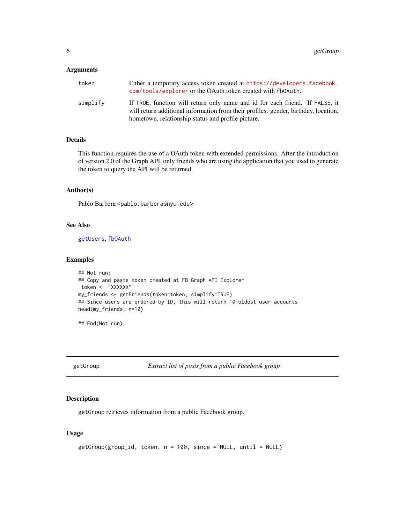#### <span id="page-5-0"></span>Arguments

| token    | Either a temporary access token created at https://developers.facebook.<br>com/tools/explorer or the OAuth token created with fb0Auth.                                                                                    |
|----------|---------------------------------------------------------------------------------------------------------------------------------------------------------------------------------------------------------------------------|
| simplify | If TRUE, function will return only name and id for each friend. If FALSE, it<br>will return additional information from their profiles: gender, birthday, location,<br>hometown, relationship status and profile picture. |

# Details

This function requires the use of a OAuth token with extended permissions. After the introduction of version 2.0 of the Graph API, only friends who are using the application that you used to generate the token to query the API will be returned.

#### Author(s)

Pablo Barbera <pablo.barbera@nyu.edu>

# See Also

[getUsers](#page-13-1), [fbOAuth](#page-1-1)

#### Examples

```
## Not run:
## Copy and paste token created at FB Graph API Explorer
token <- "XXXXXX"
my_friends <- getFriends(token=token, simplify=TRUE)
## Since users are ordered by ID, this will return 10 oldest user accounts
head(my_friends, n=10)
```
## End(Not run)

getGroup *Extract list of posts from a public Facebook group*

# Description

getGroup retrieves information from a public Facebook group.

# Usage

```
getGroup(group_id, token, n = 100, since = NULL, until = NULL)
```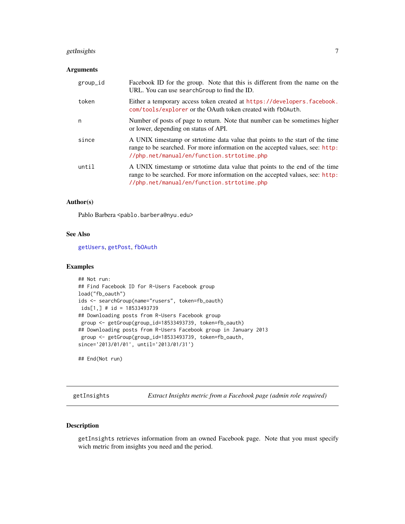# <span id="page-6-0"></span>getInsights 7

## Arguments

| group_id | Facebook ID for the group. Note that this is different from the name on the<br>URL. You can use search Group to find the ID.                                                                                  |
|----------|---------------------------------------------------------------------------------------------------------------------------------------------------------------------------------------------------------------|
| token    | Either a temporary access token created at https://developers.facebook.<br>com/tools/explorer or the OAuth token created with fb0Auth.                                                                        |
| n        | Number of posts of page to return. Note that number can be sometimes higher<br>or lower, depending on status of API.                                                                                          |
| since    | A UNIX timestamp or stritotime data value that points to the start of the time<br>range to be searched. For more information on the accepted values, see: http:<br>//php.net/manual/en/function.strtotime.php |
| until    | A UNIX timestamp or strtotime data value that points to the end of the time<br>range to be searched. For more information on the accepted values, see: http:<br>//php.net/manual/en/function.strtotime.php    |

# Author(s)

Pablo Barbera <pablo.barbera@nyu.edu>

#### See Also

[getUsers](#page-13-1), [getPost](#page-11-1), [fbOAuth](#page-1-1)

#### Examples

```
## Not run:
## Find Facebook ID for R-Users Facebook group
load("fb_oauth")
ids <- searchGroup(name="rusers", token=fb_oauth)
ids[1,] # id = 18533493739
## Downloading posts from R-Users Facebook group
group <- getGroup(group_id=18533493739, token=fb_oauth)
## Downloading posts from R-Users Facebook group in January 2013
group <- getGroup(group_id=18533493739, token=fb_oauth,
since='2013/01/01', until='2013/01/31')
```
## End(Not run)

getInsights *Extract Insights metric from a Facebook page (admin role required)*

# Description

getInsights retrieves information from an owned Facebook page. Note that you must specify wich metric from insights you need and the period.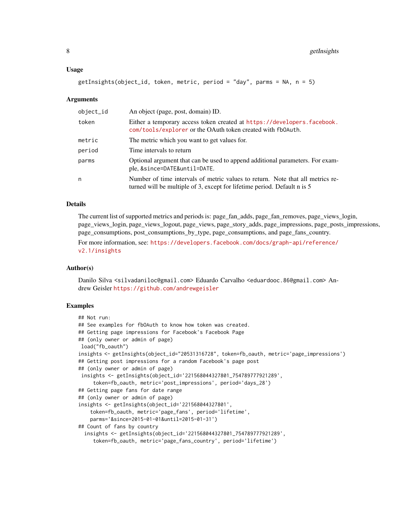#### Usage

```
getInsights(object_id, token, metric, period = "day", parms = NA, n = 5)
```
#### Arguments

| object_id | An object (page, post, domain) ID.                                                                                                                         |
|-----------|------------------------------------------------------------------------------------------------------------------------------------------------------------|
| token     | Either a temporary access token created at https://developers.facebook.<br>com/tools/explorer or the OAuth token created with fb0Auth.                     |
| metric    | The metric which you want to get values for.                                                                                                               |
| period    | Time intervals to return                                                                                                                                   |
| parms     | Optional argument that can be used to append additional parameters. For exam-<br>ple, &since=DATE&until=DATE.                                              |
| n         | Number of time intervals of metric values to return. Note that all metrics re-<br>turned will be multiple of 3, except for lifetime period. Default n is 5 |

#### Details

The current list of supported metrics and periods is: page\_fan\_adds, page\_fan\_removes, page\_views\_login, page\_views\_login, page\_views\_logout, page\_views, page\_story\_adds, page\_impressions, page\_posts\_impressions, page\_consumptions, post\_consumptions\_by\_type, page\_consumptions, and page\_fans\_country.

For more information, see: [https://developers.facebook.com/docs/graph-api/reference/](https://developers.facebook.com/docs/graph-api/reference/v2.1/insights) [v2.1/insights](https://developers.facebook.com/docs/graph-api/reference/v2.1/insights)

#### Author(s)

Danilo Silva <silvadaniloc@gmail.com> Eduardo Carvalho <eduardooc.86@gmail.com> Andrew Geisler <https://github.com/andrewgeisler>

```
## Not run:
## See examples for fbOAuth to know how token was created.
## Getting page impressions for Facebook's Facebook Page
## (only owner or admin of page)
load("fb_oauth")
insights <- getInsights(object_id="20531316728", token=fb_oauth, metric='page_impressions')
## Getting post impressions for a random Facebook's page post
## (only owner or admin of page)
insights <- getInsights(object_id='221568044327801_754789777921289',
     token=fb_oauth, metric='post_impressions', period='days_28')
## Getting page fans for date range
## (only owner or admin of page)
insights <- getInsights(object_id='221568044327801',
    token=fb_oauth, metric='page_fans', period='lifetime',
   parms='&since=2015-01-01&until=2015-01-31')
## Count of fans by country
 insights <- getInsights(object_id='221568044327801_754789777921289',
     token=fb_oauth, metric='page_fans_country', period='lifetime')
```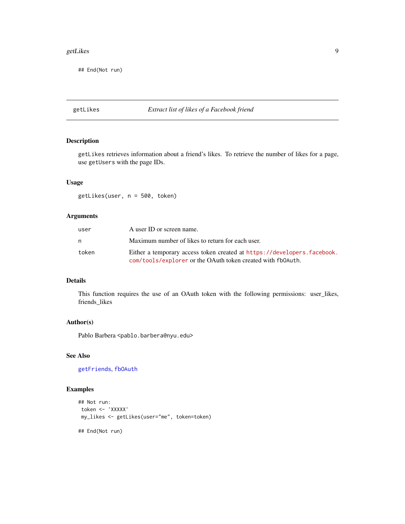#### <span id="page-8-0"></span>getLikes **9**

## End(Not run)

# getLikes *Extract list of likes of a Facebook friend*

# Description

getLikes retrieves information about a friend's likes. To retrieve the number of likes for a page, use getUsers with the page IDs.

# Usage

getLikes(user, n = 500, token)

# Arguments

| user  | A user ID or screen name.                                                                                                              |
|-------|----------------------------------------------------------------------------------------------------------------------------------------|
| n     | Maximum number of likes to return for each user.                                                                                       |
| token | Either a temporary access token created at https://developers.facebook.<br>com/tools/explorer or the OAuth token created with fb0Auth. |

# Details

This function requires the use of an OAuth token with the following permissions: user\_likes, friends\_likes

# Author(s)

Pablo Barbera <pablo.barbera@nyu.edu>

# See Also

[getFriends](#page-4-1), [fbOAuth](#page-1-1)

```
## Not run:
token <- 'XXXXX'
my_likes <- getLikes(user="me", token=token)
## End(Not run)
```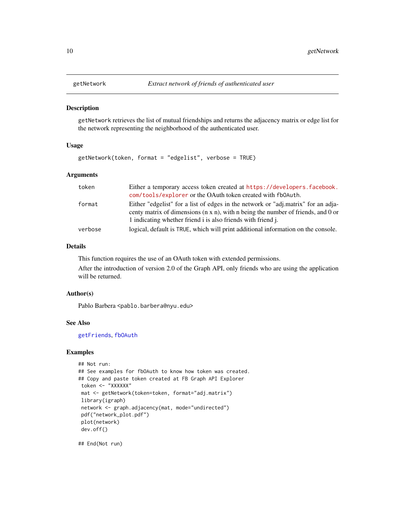<span id="page-9-1"></span><span id="page-9-0"></span>

getNetwork retrieves the list of mutual friendships and returns the adjacency matrix or edge list for the network representing the neighborhood of the authenticated user.

# Usage

getNetwork(token, format = "edgelist", verbose = TRUE)

# Arguments

| token   | Either a temporary access token created at https://developers.facebook.                                                                                                                                                                       |
|---------|-----------------------------------------------------------------------------------------------------------------------------------------------------------------------------------------------------------------------------------------------|
|         | com/tools/explorer or the OAuth token created with fb0Auth.                                                                                                                                                                                   |
| format  | Either "edgelist" for a list of edges in the network or "adj.matrix" for an adja-<br>centy matrix of dimensions $(n \times n)$ , with n being the number of friends, and 0 or<br>1 indicating whether friend i is also friends with friend j. |
| verbose | logical, default is TRUE, which will print additional information on the console.                                                                                                                                                             |

#### Details

This function requires the use of an OAuth token with extended permissions.

After the introduction of version 2.0 of the Graph API, only friends who are using the application will be returned.

#### Author(s)

Pablo Barbera <pablo.barbera@nyu.edu>

#### See Also

[getFriends](#page-4-1), [fbOAuth](#page-1-1)

#### Examples

```
## Not run:
## See examples for fbOAuth to know how token was created.
## Copy and paste token created at FB Graph API Explorer
token <- "XXXXXX"
mat <- getNetwork(token=token, format="adj.matrix")
library(igraph)
network <- graph.adjacency(mat, mode="undirected")
pdf("network_plot.pdf")
plot(network)
dev.off()
```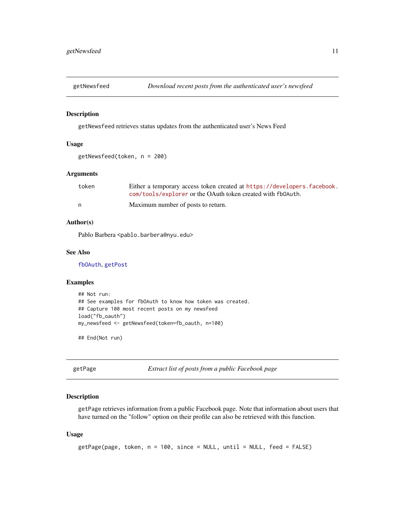<span id="page-10-0"></span>

getNewsfeed retrieves status updates from the authenticated user's News Feed

#### Usage

```
getNewsfeed(token, n = 200)
```
# Arguments

| token | Either a temporary access token created at https://developers.facebook. |
|-------|-------------------------------------------------------------------------|
|       | com/tools/explorer or the OAuth token created with fb0Auth.             |
| n     | Maximum number of posts to return.                                      |

# Author(s)

Pablo Barbera <pablo.barbera@nyu.edu>

#### See Also

[fbOAuth](#page-1-1), [getPost](#page-11-1)

#### Examples

```
## Not run:
## See examples for fbOAuth to know how token was created.
## Capture 100 most recent posts on my newsfeed
load("fb_oauth")
my_newsfeed <- getNewsfeed(token=fb_oauth, n=100)
```
## End(Not run)

<span id="page-10-1"></span>getPage *Extract list of posts from a public Facebook page*

#### Description

getPage retrieves information from a public Facebook page. Note that information about users that have turned on the "follow" option on their profile can also be retrieved with this function.

#### Usage

```
getPage(page, token, n = 100, since = NULL, until = NULL, feed = FALSE)
```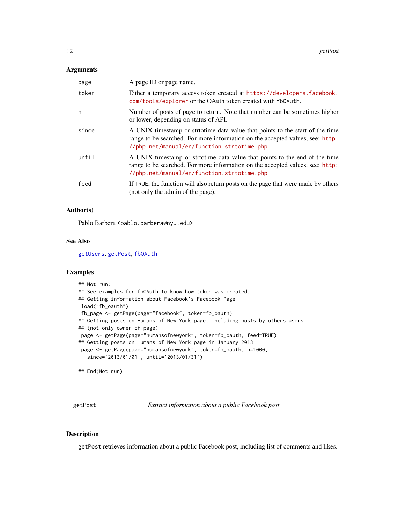#### <span id="page-11-0"></span>Arguments

| page  | A page ID or page name.                                                                                                                                                                                      |
|-------|--------------------------------------------------------------------------------------------------------------------------------------------------------------------------------------------------------------|
| token | Either a temporary access token created at https://developers.facebook.<br>com/tools/explorer or the OAuth token created with fb0Auth.                                                                       |
| n     | Number of posts of page to return. Note that number can be sometimes higher<br>or lower, depending on status of API.                                                                                         |
| since | A UNIX timestamp or strtotime data value that points to the start of the time<br>range to be searched. For more information on the accepted values, see: http:<br>//php.net/manual/en/function.strtotime.php |
| until | A UNIX timestamp or strtotime data value that points to the end of the time<br>range to be searched. For more information on the accepted values, see: http:<br>//php.net/manual/en/function.strtotime.php   |
| feed  | If TRUE, the function will also return posts on the page that were made by others<br>(not only the admin of the page).                                                                                       |

#### Author(s)

Pablo Barbera <pablo.barbera@nyu.edu>

#### See Also

[getUsers](#page-13-1), [getPost](#page-11-1), [fbOAuth](#page-1-1)

# Examples

```
## Not run:
## See examples for fbOAuth to know how token was created.
## Getting information about Facebook's Facebook Page
load("fb_oauth")
fb_page <- getPage(page="facebook", token=fb_oauth)
## Getting posts on Humans of New York page, including posts by others users
## (not only owner of page)
page <- getPage(page="humansofnewyork", token=fb_oauth, feed=TRUE)
## Getting posts on Humans of New York page in January 2013
page <- getPage(page="humansofnewyork", token=fb_oauth, n=1000,
  since='2013/01/01', until='2013/01/31')
## End(Not run)
```
<span id="page-11-1"></span>getPost *Extract information about a public Facebook post*

## Description

getPost retrieves information about a public Facebook post, including list of comments and likes.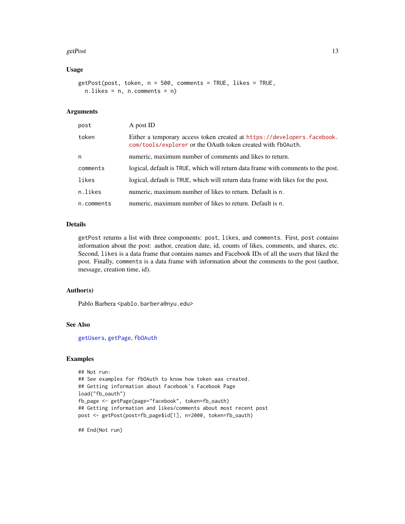#### <span id="page-12-0"></span>getPost 13

# Usage

```
getPost(post, token, n = 500, comments = TRUE, likes = TRUE,
 n.likes = n, n.comments = n)
```
# **Arguments**

| post       | A post ID                                                                                                                              |
|------------|----------------------------------------------------------------------------------------------------------------------------------------|
| token      | Either a temporary access token created at https://developers.facebook.<br>com/tools/explorer or the OAuth token created with fb0Auth. |
| n          | numeric, maximum number of comments and likes to return.                                                                               |
| comments   | logical, default is TRUE, which will return data frame with comments to the post.                                                      |
| likes      | logical, default is TRUE, which will return data frame with likes for the post.                                                        |
| n.likes    | numeric, maximum number of likes to return. Default is n.                                                                              |
| n.comments | numeric, maximum number of likes to return. Default is n.                                                                              |

# Details

getPost returns a list with three components: post, likes, and comments. First, post contains information about the post: author, creation date, id, counts of likes, comments, and shares, etc. Second, likes is a data frame that contains names and Facebook IDs of all the users that liked the post. Finally, comments is a data frame with information about the comments to the post (author, message, creation time, id).

#### Author(s)

Pablo Barbera <pablo.barbera@nyu.edu>

# See Also

[getUsers](#page-13-1), [getPage](#page-10-1), [fbOAuth](#page-1-1)

#### Examples

```
## Not run:
## See examples for fbOAuth to know how token was created.
## Getting information about Facebook's Facebook Page
load("fb_oauth")
fb_page <- getPage(page="facebook", token=fb_oauth)
## Getting information and likes/comments about most recent post
post <- getPost(post=fb_page$id[1], n=2000, token=fb_oauth)
```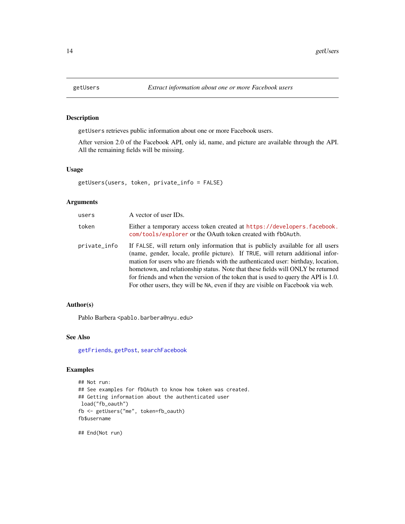<span id="page-13-1"></span><span id="page-13-0"></span>

getUsers retrieves public information about one or more Facebook users.

After version 2.0 of the Facebook API, only id, name, and picture are available through the API. All the remaining fields will be missing.

#### Usage

getUsers(users, token, private\_info = FALSE)

# Arguments

| users        | A vector of user IDs.                                                                                                                                                                                                                                                                                                                                                                                                                                                                                                |
|--------------|----------------------------------------------------------------------------------------------------------------------------------------------------------------------------------------------------------------------------------------------------------------------------------------------------------------------------------------------------------------------------------------------------------------------------------------------------------------------------------------------------------------------|
| token        | Either a temporary access token created at https://developers.facebook.<br>com/tools/explorer or the OAuth token created with fb0Auth.                                                                                                                                                                                                                                                                                                                                                                               |
| private_info | If FALSE, will return only information that is publicly available for all users<br>(name, gender, locale, profile picture). If TRUE, will return additional infor-<br>mation for users who are friends with the authenticated user: birthday, location,<br>hometown, and relationship status. Note that these fields will ONLY be returned<br>for friends and when the version of the token that is used to query the API is 1.0.<br>For other users, they will be NA, even if they are visible on Facebook via web. |

# Author(s)

Pablo Barbera <pablo.barbera@nyu.edu>

#### See Also

[getFriends](#page-4-1), [getPost](#page-11-1), [searchFacebook](#page-14-1)

# Examples

```
## Not run:
## See examples for fbOAuth to know how token was created.
## Getting information about the authenticated user
load("fb_oauth")
fb <- getUsers("me", token=fb_oauth)
fb$username
```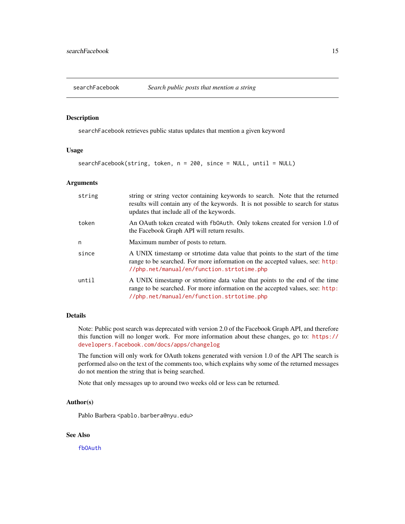<span id="page-14-1"></span><span id="page-14-0"></span>

searchFacebook retrieves public status updates that mention a given keyword

#### Usage

searchFacebook(string, token, n = 200, since = NULL, until = NULL)

#### Arguments

| string | string or string vector containing keywords to search. Note that the returned<br>results will contain any of the keywords. It is not possible to search for status<br>updates that include all of the keywords. |
|--------|-----------------------------------------------------------------------------------------------------------------------------------------------------------------------------------------------------------------|
| token  | An OAuth token created with fb0Auth. Only tokens created for version 1.0 of<br>the Facebook Graph API will return results.                                                                                      |
| n      | Maximum number of posts to return.                                                                                                                                                                              |
| since  | A UNIX timestamp or stritotime data value that points to the start of the time<br>range to be searched. For more information on the accepted values, see: http:<br>//php.net/manual/en/function.strtotime.php   |
| until  | A UNIX timestamp or strtotime data value that points to the end of the time<br>range to be searched. For more information on the accepted values, see: http:<br>//php.net/manual/en/function.strtotime.php      |

# Details

Note: Public post search was deprecated with version 2.0 of the Facebook Graph API, and therefore this function will no longer work. For more information about these changes, go to: [https://](https://developers.facebook.com/docs/apps/changelog) [developers.facebook.com/docs/apps/changelog](https://developers.facebook.com/docs/apps/changelog)

The function will only work for OAuth tokens generated with version 1.0 of the API The search is performed also on the text of the comments too, which explains why some of the returned messages do not mention the string that is being searched.

Note that only messages up to around two weeks old or less can be returned.

#### Author(s)

Pablo Barbera <pablo.barbera@nyu.edu>

# See Also

[fbOAuth](#page-1-1)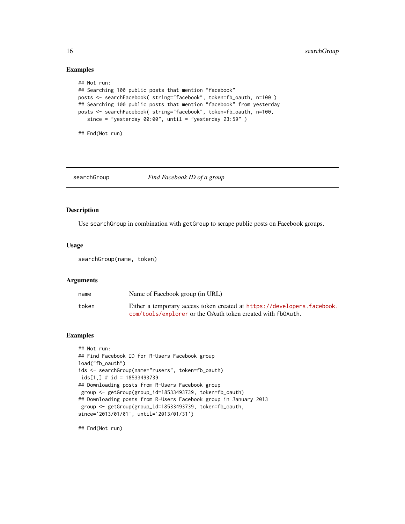# Examples

```
## Not run:
## Searching 100 public posts that mention "facebook"
posts <- searchFacebook( string="facebook", token=fb_oauth, n=100 )
## Searching 100 public posts that mention "facebook" from yesterday
posts <- searchFacebook( string="facebook", token=fb_oauth, n=100,
   since = "yesterday 00:00", until = "yesterday 23:59" )
## End(Not run)
```
# searchGroup *Find Facebook ID of a group*

#### Description

Use searchGroup in combination with getGroup to scrape public posts on Facebook groups.

#### Usage

searchGroup(name, token)

# Arguments

| name  | Name of Facebook group (in URL)                                         |
|-------|-------------------------------------------------------------------------|
| token | Either a temporary access token created at https://developers.facebook. |
|       | com/tools/explorer or the OAuth token created with fb0Auth.             |

# Examples

```
## Not run:
## Find Facebook ID for R-Users Facebook group
load("fb_oauth")
ids <- searchGroup(name="rusers", token=fb_oauth)
ids[1,] # id = 18533493739
## Downloading posts from R-Users Facebook group
group <- getGroup(group_id=18533493739, token=fb_oauth)
## Downloading posts from R-Users Facebook group in January 2013
group <- getGroup(group_id=18533493739, token=fb_oauth,
since='2013/01/01', until='2013/01/31')
```
<span id="page-15-0"></span>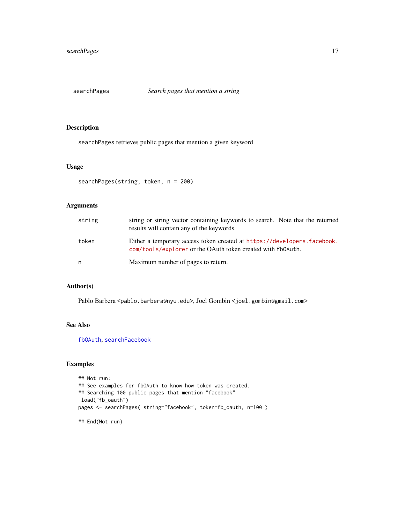<span id="page-16-0"></span>

searchPages retrieves public pages that mention a given keyword

# Usage

```
searchPages(string, token, n = 200)
```
# Arguments

| string | string or string vector containing keywords to search. Note that the returned<br>results will contain any of the keywords.             |
|--------|----------------------------------------------------------------------------------------------------------------------------------------|
| token  | Either a temporary access token created at https://developers.facebook.<br>com/tools/explorer or the OAuth token created with fb0Auth. |
| n      | Maximum number of pages to return.                                                                                                     |

#### Author(s)

Pablo Barbera <pablo.barbera@nyu.edu>, Joel Gombin <joel.gombin@gmail.com>

# See Also

[fbOAuth](#page-1-1), [searchFacebook](#page-14-1)

```
## Not run:
## See examples for fbOAuth to know how token was created.
## Searching 100 public pages that mention "facebook"
load("fb_oauth")
pages <- searchPages( string="facebook", token=fb_oauth, n=100 )
## End(Not run)
```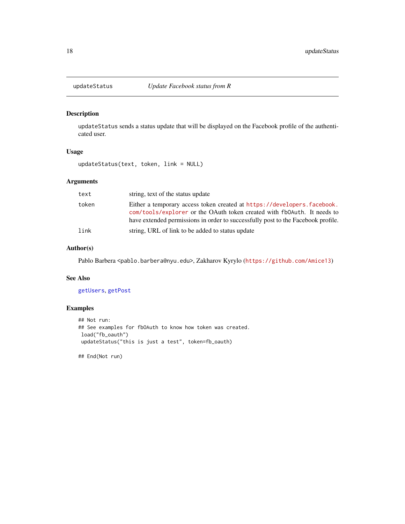<span id="page-17-1"></span><span id="page-17-0"></span>

updateStatus sends a status update that will be displayed on the Facebook profile of the authenticated user.

#### Usage

updateStatus(text, token, link = NULL)

# Arguments

| text  | string, text of the status update                                                                                                                                                                                                      |
|-------|----------------------------------------------------------------------------------------------------------------------------------------------------------------------------------------------------------------------------------------|
| token | Either a temporary access token created at https://developers.facebook.<br>com/tools/explorer or the OAuth token created with fb0Auth. It needs to<br>have extended permissions in order to successfully post to the Facebook profile. |
| link  | string, URL of link to be added to status update                                                                                                                                                                                       |

# Author(s)

Pablo Barbera <pablo.barbera@nyu.edu>, Zakharov Kyrylo (<https://github.com/Amice13>)

# See Also

# [getUsers](#page-13-1), [getPost](#page-11-1)

# Examples

```
## Not run:
## See examples for fbOAuth to know how token was created.
load("fb_oauth")
updateStatus("this is just a test", token=fb_oauth)
```